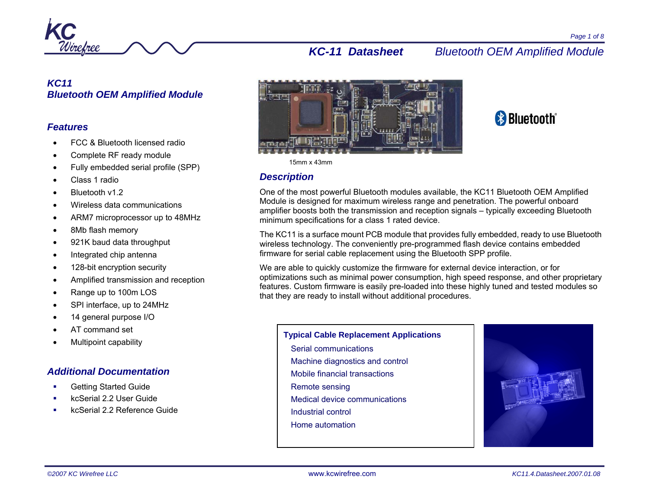

## *KC11 Bluetooth OEM Amplified Module*

## *Features*

- FCC & Bluetooth licensed radio
- Complete RF ready module
- Fully embedded serial profile (SPP)
- Class 1 radio
- Bluetooth v1.2
- Wireless data communications
- ARM7 microprocessor up to 48MHz
- 8Mb flash memory
- 921K baud data throughput
- Integrated chip antenna
- 128-bit encryption security
- Amplified transmission and reception
- Range up to 100m LOS
- SPI interface, up to 24MHz
- 14 general purpose I/O
- AT command set
- Multipoint capability

## *Additional Documentation*

- Getting Started Guide
- kcSerial 2.2 User Guide
- kcSerial 2.2 Reference Guide





#### 15mm x 43mm

## *Description*

One of the most powerful Bluetooth modules available, the KC11 Bluetooth OEM Amplified Module is designed for maximum wireless range and penetration. The powerful onboard amplifier boosts both the transmission and reception signals – typically exceeding Bluetooth minimum specifications for a class 1 rated device.

The KC11 is a surface mount PCB module that provides fully embedded, ready to use Bluetooth wireless technology. The conveniently pre-programmed flash device contains embedded firmware for serial cable replacement using the Bluetooth SPP profile.

We are able to quickly customize the firmware for external device interaction, or for optimizations such as minimal power consumption, high speed response, and other proprietary features. Custom firmware is easily pre-loaded into these highly tuned and tested modules so that they are ready to install without additional procedures.

#### **Typical Cable Replacement Applications**

- Serial communications Machine diagnostics and control
- Mobile financial transactions
- 
- Remote sensing
- Medical device communications
- Industrial control
- Home automation

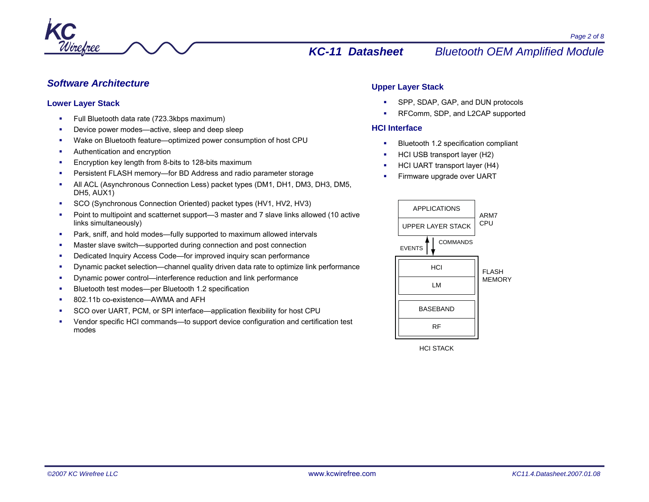

## *Software Architecture*

#### **Lower Layer Stack**

- г Full Bluetooth data rate (723.3kbps maximum)
- L Device power modes—active, sleep and deep sleep
- Wake on Bluetooth feature—optimized power consumption of host CPU
- Authentication and encryption
- г Encryption key length from 8-bits to 128-bits maximum
- г Persistent FLASH memory—for BD Address and radio parameter storage
- L All ACL (Asynchronous Connection Less) packet types (DM1, DH1, DM3, DH3, DM5, DH5, AUX1)
- SCO (Synchronous Connection Oriented) packet types (HV1, HV2, HV3)
- г Point to multipoint and scatternet support—3 master and 7 slave links allowed (10 active links simultaneously)
- Ξ Park, sniff, and hold modes—fully supported to maximum allowed intervals
- Master slave switch—supported during connection and post connection
- Dedicated Inquiry Access Code—for improved inquiry scan performance
- г Dynamic packet selection—channel quality driven data rate to optimize link performance
- г Dynamic power control—interference reduction and link performance
- L Bluetooth test modes—per Bluetooth 1.2 specification
- 802.11b co-existence—AWMA and AFH
- SCO over UART, PCM, or SPI interface—application flexibility for host CPU
- г Vendor specific HCI commands—to support device configuration and certification test modes

## **Upper Layer Stack**

- SPP, SDAP, GAP, and DUN protocols
- RFComm, SDP, and L2CAP supported

## **HCI Interface**

- Bluetooth 1.2 specification compliant
- HCI USB transport layer (H2)
- г HCI UART transport layer (H4)
- г Firmware upgrade over UART



HCI STACK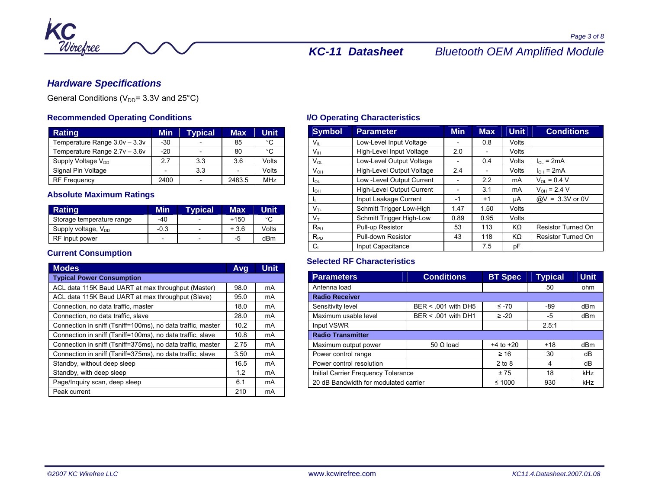

## *Hardware Specifications*

General Conditions ( $V_{DD}$ = 3.3V and 25°C)

## **Recommended Operating Conditions**

| <b>Rating</b>                  | Min   | <b>Typical</b>           | <b>Max</b> | <b>Unit</b> |
|--------------------------------|-------|--------------------------|------------|-------------|
| Temperature Range 3.0v - 3.3v  | $-30$ |                          | 85         | °C          |
| Temperature Range 2.7v - 3.6v  | $-20$ | $\overline{\phantom{0}}$ | 80         | °C          |
| Supply Voltage V <sub>DD</sub> | 2.7   | 3.3                      | 3.6        | Volts       |
| Signal Pin Voltage             |       | 3.3                      |            | Volts       |
| <b>RF Frequency</b>            | 2400  |                          | 2483.5     | <b>MHz</b>  |

## **Absolute Maximum Ratings**

| Rating                    | Min                      | <b>Typical</b>           | Max    | Unit  |
|---------------------------|--------------------------|--------------------------|--------|-------|
| Storage temperature range | -40                      | $\overline{\phantom{0}}$ | $+150$ | °C    |
| Supply voltage, $V_{DD}$  | $-0.3$                   | $\overline{\phantom{0}}$ | $+3.6$ | Volts |
| RF input power            | $\overline{\phantom{0}}$ | $\overline{\phantom{0}}$ | -5     | dBm   |

## **Current Consumption**

| <b>Modes</b>                                                | Avg  | Unit |  |  |  |  |
|-------------------------------------------------------------|------|------|--|--|--|--|
| <b>Typical Power Consumption</b>                            |      |      |  |  |  |  |
| ACL data 115K Baud UART at max throughput (Master)          | 98.0 | mA   |  |  |  |  |
| ACL data 115K Baud UART at max throughput (Slave)           | 95.0 | mA   |  |  |  |  |
| Connection, no data traffic, master                         | 18.0 | mA   |  |  |  |  |
| Connection, no data traffic, slave                          | 28.0 | mA   |  |  |  |  |
| Connection in sniff (Tsniff=100ms), no data traffic, master | 10.2 | mA   |  |  |  |  |
| Connection in sniff (Tsniff=100ms), no data traffic, slave  | 10.8 | mA   |  |  |  |  |
| Connection in sniff (Tsniff=375ms), no data traffic, master | 2.75 | mA   |  |  |  |  |
| Connection in sniff (Tsniff=375ms), no data traffic, slave  | 3.50 | mA   |  |  |  |  |
| Standby, without deep sleep                                 | 16.5 | mA   |  |  |  |  |
| Standby, with deep sleep                                    |      | mA   |  |  |  |  |
| Page/Inquiry scan, deep sleep                               | 6.1  | mA   |  |  |  |  |
| Peak current                                                | 210  | mA   |  |  |  |  |

## **I/O Operating Characteristics**

| <b>Symbol</b>   | <b>Parameter</b>          | <b>Min</b> | <b>Max</b>               | <b>Unit</b> | <b>Conditions</b>         |
|-----------------|---------------------------|------------|--------------------------|-------------|---------------------------|
| $V_{\parallel}$ | Low-Level Input Voltage   |            | 0.8                      | Volts       |                           |
| V <sub>IH</sub> | High-Level Input Voltage  | 2.0        | $\overline{\phantom{0}}$ | Volts       |                           |
| $V_{OL}$        | Low-Level Output Voltage  |            | 0.4                      | Volts       | $I_{\Omega}$ = 2mA        |
| $V_{OH}$        | High-Level Output Voltage | 2.4        |                          | Volts       | $I_{OH}$ = 2mA            |
| lol             | Low -Level Output Current |            | 2.2                      | mA          | $V_{OL} = 0.4 V$          |
| Iон             | High-Level Output Current |            | 3.1                      | mA          | $V_{OH} = 2.4 V$          |
| h.              | Input Leakage Current     | $-1$       | $+1$                     | uA          | $@V_1 = 3.3V$ or 0V       |
| $V_{T+}$        | Schmitt Trigger Low-High  | 1.47       | 1.50                     | Volts       |                           |
| $V_T$           | Schmitt Trigger High-Low  | 0.89       | 0.95                     | Volts       |                           |
| $R_{PU}$        | Pull-up Resistor          | 53         | 113                      | KΩ          | <b>Resistor Turned On</b> |
| $R_{PD}$        | Pull-down Resistor        | 43         | 118                      | KΩ          | <b>Resistor Turned On</b> |
| $C_1$           | Input Capacitance         |            | 7.5                      | pF          |                           |

## **Selected RF Characteristics**

| <b>Parameters</b>                     | <b>Conditions</b>   | <b>BT Spec</b> | <b>Typical</b> | <b>Unit</b>     |  |  |
|---------------------------------------|---------------------|----------------|----------------|-----------------|--|--|
| Antenna load                          |                     |                | 50             | ohm             |  |  |
| <b>Radio Receiver</b>                 |                     |                |                |                 |  |  |
| Sensitivity level                     | BER < .001 with DH5 | $\leq -70$     | -89            | dBm             |  |  |
| Maximum usable level                  | BER < .001 with DH1 | $\ge -20$      | -5             | dB <sub>m</sub> |  |  |
| Input VSWR                            |                     |                | 2.5:1          |                 |  |  |
| <b>Radio Transmitter</b>              |                     |                |                |                 |  |  |
| Maximum output power                  | 50 $\Omega$ load    | $+4$ to $+20$  | $+18$          | dBm             |  |  |
| Power control range                   |                     | $\geq 16$      | 30             | dB              |  |  |
| Power control resolution              |                     | $2$ to $8$     | 4              | dB              |  |  |
| Initial Carrier Frequency Tolerance   |                     | ±75            | 18             | kHz             |  |  |
| 20 dB Bandwidth for modulated carrier |                     | $≤ 1000$       | 930            | kHz             |  |  |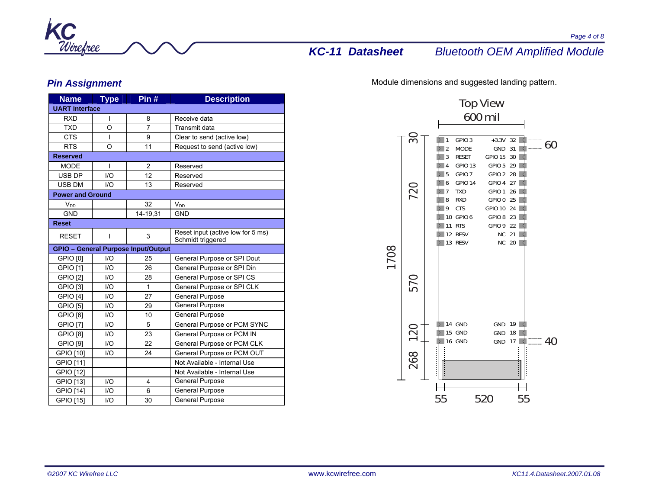

## *Pin Assignment*

| <b>Name</b>             | <b>Type</b>             | Pin $#$                                    | <b>Description</b>                                     |  |  |
|-------------------------|-------------------------|--------------------------------------------|--------------------------------------------------------|--|--|
| <b>UART Interface</b>   |                         |                                            |                                                        |  |  |
| <b>RXD</b>              | I                       | 8                                          | Receive data                                           |  |  |
| <b>TXD</b>              | O                       | $\overline{7}$                             | Transmit data                                          |  |  |
| <b>CTS</b>              | I                       | 9                                          | Clear to send (active low)                             |  |  |
| <b>RTS</b>              | O                       | 11                                         | Request to send (active low)                           |  |  |
| <b>Reserved</b>         |                         |                                            |                                                        |  |  |
| <b>MODE</b>             | I                       | $\overline{2}$                             | Reserved                                               |  |  |
| <b>USB DP</b>           | 1/O                     | 12                                         | Reserved                                               |  |  |
| <b>USB DM</b>           | 1/O                     | 13                                         | Reserved                                               |  |  |
| <b>Power and Ground</b> |                         |                                            |                                                        |  |  |
| $V_{DD}$                |                         | 32                                         | $V_{DD}$                                               |  |  |
| <b>GND</b>              |                         | 14-19,31                                   | <b>GND</b>                                             |  |  |
| <b>Reset</b>            |                         |                                            |                                                        |  |  |
| <b>RESET</b>            | L                       | 3                                          | Reset input (active low for 5 ms)<br>Schmidt triggered |  |  |
|                         |                         | <b>GPIO - General Purpose Input/Output</b> |                                                        |  |  |
| GPIO [0]                | 1/O                     | 25                                         | General Purpose or SPI Dout                            |  |  |
| GPIO [1]                | 1/O                     | 26                                         | General Purpose or SPI Din                             |  |  |
| <b>GPIO [2]</b>         | $\mathsf{I}/\mathsf{O}$ | 28                                         | General Purpose or SPI CS                              |  |  |
| GPIO [3]                | 1/O                     | $\mathbf{1}$                               | General Purpose or SPI CLK                             |  |  |
| <b>GPIO [4]</b>         | 1/O                     | 27                                         | <b>General Purpose</b>                                 |  |  |
| <b>GPIO [5]</b>         | 1/O                     | 29                                         | <b>General Purpose</b>                                 |  |  |
| GPIO [6]                | $\mathsf{I}/\mathsf{O}$ | 10                                         | <b>General Purpose</b>                                 |  |  |
| <b>GPIO [7]</b>         | $UO$                    | 5                                          | General Purpose or PCM SYNC                            |  |  |
| <b>GPIO [8]</b>         | 1/O                     | 23                                         | General Purpose or PCM IN                              |  |  |
| <b>GPIO [9]</b>         | $\mathsf{U}\mathsf{O}$  | 22                                         | General Purpose or PCM CLK                             |  |  |
| GPIO [10]               | 1/O                     | 24                                         | General Purpose or PCM OUT                             |  |  |
| GPIO [11]               |                         |                                            | Not Available - Internal Use                           |  |  |
| GPIO [12]               |                         |                                            | Not Available - Internal Use                           |  |  |
| GPIO [13]               | 1/O                     | 4                                          | General Purpose                                        |  |  |
| <b>GPIO [14]</b>        | $\mathsf{I}/\mathsf{O}$ | 6                                          | General Purpose                                        |  |  |
| GPIO [15]               | $UO$                    | 30                                         | <b>General Purpose</b>                                 |  |  |

Module dimensions and suggested landing pattern.

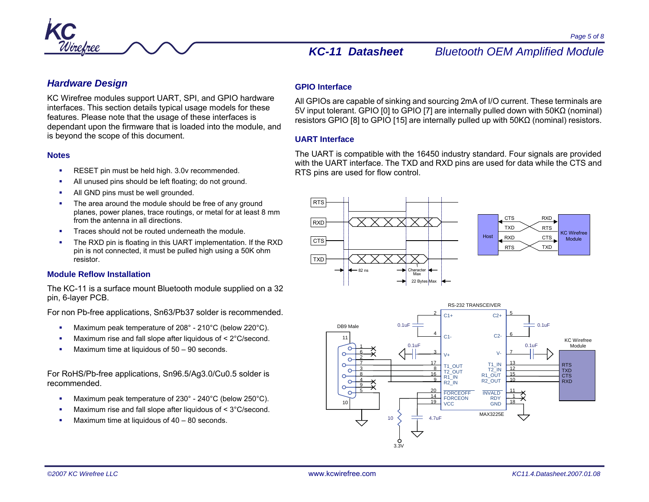

## *Hardware Design*

KC Wirefree modules support UART, SPI, and GPIO hardware interfaces. This section details typical usage models for these features. Please note that the usage of these interfaces is dependant upon the firmware that is loaded into the module, and is beyond the scope of this document.

#### **Notes**

- RESET pin must be held high. 3.0v recommended.
- All unused pins should be left floating; do not ground.
- г All GND pins must be well grounded.
- г The area around the module should be free of any ground planes, power planes, trace routings, or metal for at least 8 mm from the antenna in all directions.
- Traces should not be routed underneath the module.
- Ξ The RXD pin is floating in this UART implementation. If the RXD pin is not connected, it must be pulled high using a 50K ohm resistor.

## **Module Reflow Installation**

The KC-11 is a surface mount Bluetooth module supplied on a 32 pin, 6-layer PCB.

For non Pb-free applications, Sn63/Pb37 solder is recommended.

- г Maximum peak temperature of 208° - 210°C (below 220°C).
- Ξ Maximum rise and fall slope after liquidous of < 2°C/second.
- Maximum time at liquidous of 50 90 seconds.

For RoHS/Pb-free applications, Sn96.5/Ag3.0/Cu0.5 solder is recommended.

- Maximum peak temperature of 230° 240°C (below 250°C).
- г Maximum rise and fall slope after liquidous of < 3°C/second.
- г Maximum time at liquidous of 40 – 80 seconds.

## **GPIO Interface**

All GPIOs are capable of sinking and sourcing 2mA of I/O current. These terminals are 5V input tolerant. GPIO [0] to GPIO [7] are internally pulled down with 50KΩ (nominal) resistors GPIO [8] to GPIO [15] are internally pulled up with 50KΩ (nominal) resistors.

## **UART Interface**

The UART is compatible with the 16450 industry standard. Four signals are provided with the UART interface. The TXD and RXD pins are used for data while the CTS and RTS pins are used for flow control.



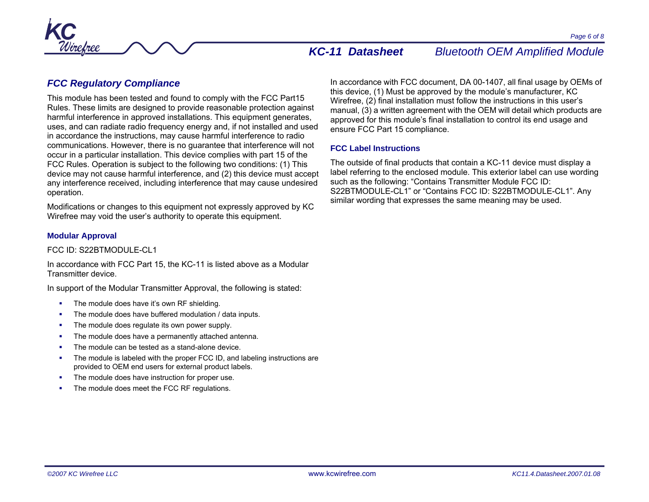

## *FCC Regulatory Compliance*

This module has been tested and found to comply with the FCC Part15 Rules. These limits are designed to provide reasonable protection against harmful interference in approved installations. This equipment generates, uses, and can radiate radio frequency energy and, if not installed and used in accordance the instructions, may cause harmful interference to radio communications. However, there is no guarantee that interference will not occur in a particular installation. This device complies with part 15 of the FCC Rules. Operation is subject to the following two conditions: (1) This device may not cause harmful interference, and (2) this device must accept any interference received, including interference that may cause undesired operation.

Modifications or changes to this equipment not expressly approved by KC Wirefree may void the user's authority to operate this equipment.

#### **Modular Approval**

#### FCC ID: S22BTMODULE-CL1

In accordance with FCC Part 15, the KC-11 is listed above as a Modular Transmitter device.

In support of the Modular Transmitter Approval, the following is stated:

- **The module does have it's own RF shielding.**
- The module does have buffered modulation / data inputs.
- г The module does regulate its own power supply.
- г The module does have a permanently attached antenna.
- L The module can be tested as a stand-alone device.
- The module is labeled with the proper FCC ID, and labeling instructions are provided to OEM end users for external product labels.
- Ξ The module does have instruction for proper use.
- г The module does meet the FCC RF regulations.

In accordance with FCC document, DA 00-1407, all final usage by OEMs of this device, (1) Must be approved by the module's manufacturer, KC Wirefree, (2) final installation must follow the instructions in this user's manual, (3) a written agreement with the OEM will detail which products are approved for this module's final installation to control its end usage and ensure FCC Part 15 compliance.

### **FCC Label Instructions**

The outside of final products that contain a KC-11 device must display a label referring to the enclosed module. This exterior label can use wording such as the following: "Contains Transmitter Module FCC ID: S22BTMODULE-CL1" or "Contains FCC ID: S22BTMODULE-CL1". Any similar wording that expresses the same meaning may be used.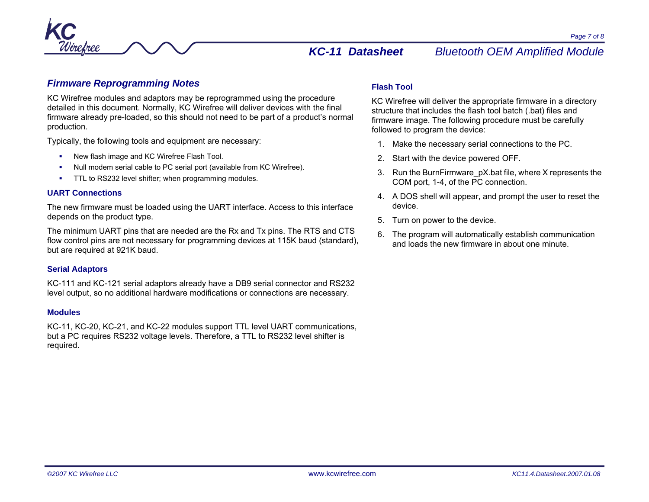

## *Firmware Reprogramming Notes*

KC Wirefree modules and adaptors may be reprogrammed using the procedure detailed in this document. Normally, KC Wirefree will deliver devices with the final firmware already pre-loaded, so this should not need to be part of a product's normal production.

Typically, the following tools and equipment are necessary:

- New flash image and KC Wirefree Flash Tool.
- г Null modem serial cable to PC serial port (available from KC Wirefree).
- г TTL to RS232 level shifter; when programming modules.

#### **UART Connections**

The new firmware must be loaded using the UART interface. Access to this interface depends on the product type.

The minimum UART pins that are needed are the Rx and Tx pins. The RTS and CTS flow control pins are not necessary for programming devices at 115K baud (standard), but are required at 921K baud.

### **Serial Adaptors**

KC-111 and KC-121 serial adaptors already have a DB9 serial connector and RS232 level output, so no additional hardware modifications or connections are necessary.

### **Modules**

KC-11, KC-20, KC-21, and KC-22 modules support TTL level UART communications, but a PC requires RS232 voltage levels. Therefore, a TTL to RS232 level shifter is required.

## **Flash Tool**

KC Wirefree will deliver the appropriate firmware in a directory structure that includes the flash tool batch (.bat) files and firmware image. The following procedure must be carefully followed to program the device:

- 1. Make the necessary serial connections to the PC.
- 2. Start with the device powered OFF.
- 3. Run the BurnFirmware\_pX.bat file, where X represents the COM port, 1-4, of the PC connection.
- 4. A DOS shell will appear, and prompt the user to reset the device.
- 5. Turn on power to the device.
- 6. The program will automatically establish communication and loads the new firmware in about one minute.